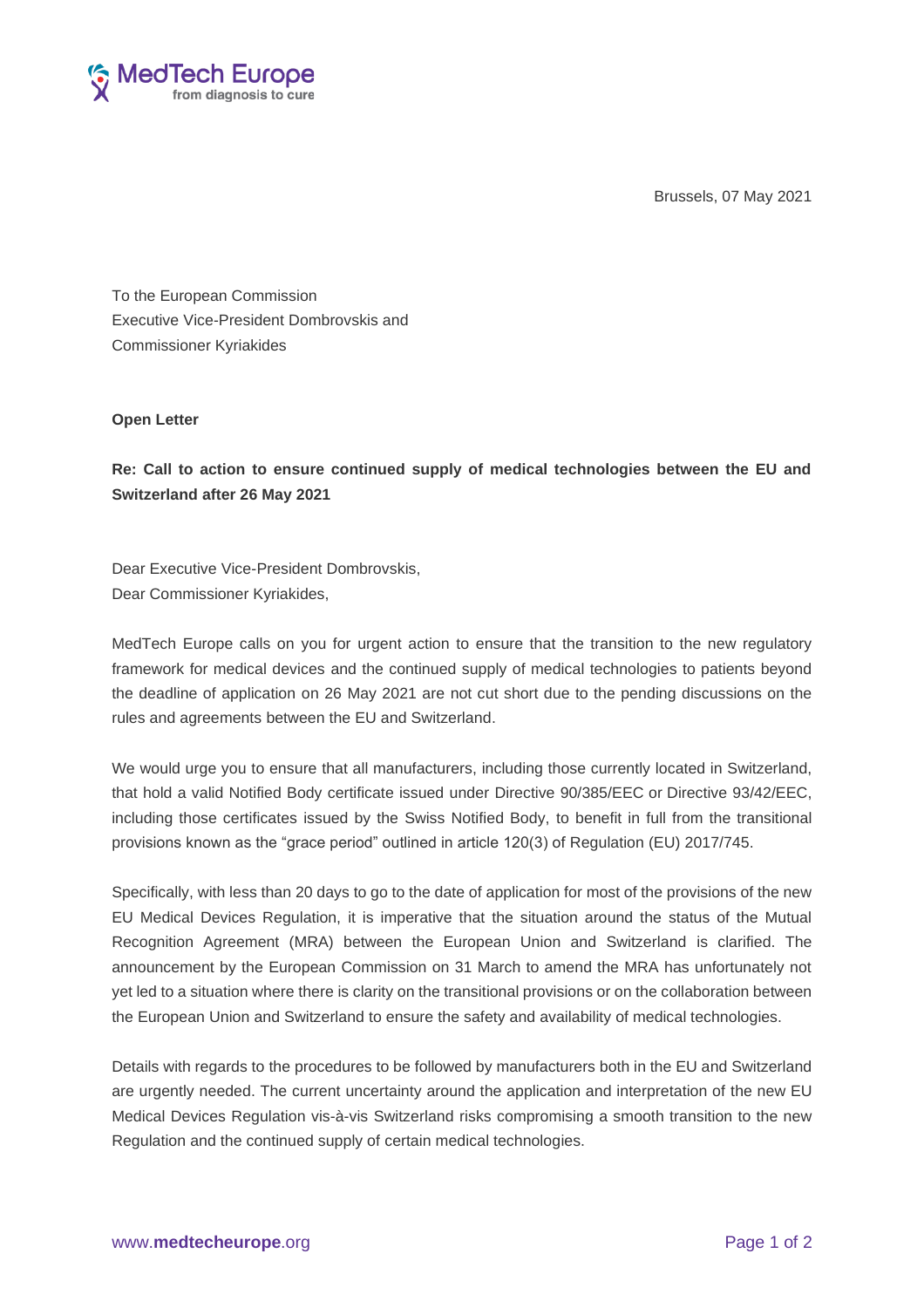Brussels, 07 May 2021



To the European Commission Executive Vice-President Dombrovskis and Commissioner Kyriakides

## **Open Letter**

**Re: Call to action to ensure continued supply of medical technologies between the EU and Switzerland after 26 May 2021**

Dear Executive Vice-President Dombrovskis, Dear Commissioner Kyriakides,

MedTech Europe calls on you for urgent action to ensure that the transition to the new regulatory framework for medical devices and the continued supply of medical technologies to patients beyond the deadline of application on 26 May 2021 are not cut short due to the pending discussions on the rules and agreements between the EU and Switzerland.

We would urge you to ensure that all manufacturers, including those currently located in Switzerland, that hold a valid Notified Body certificate issued under Directive 90/385/EEC or Directive 93/42/EEC, including those certificates issued by the Swiss Notified Body, to benefit in full from the transitional provisions known as the "grace period" outlined in article 120(3) of Regulation (EU) 2017/745.

Specifically, with less than 20 days to go to the date of application for most of the provisions of the new EU Medical Devices Regulation, it is imperative that the situation around the status of the Mutual Recognition Agreement (MRA) between the European Union and Switzerland is clarified. The announcement by the European Commission on 31 March to amend the MRA has unfortunately not yet led to a situation where there is clarity on the transitional provisions or on the collaboration between the European Union and Switzerland to ensure the safety and availability of medical technologies.

Details with regards to the procedures to be followed by manufacturers both in the EU and Switzerland are urgently needed. The current uncertainty around the application and interpretation of the new EU Medical Devices Regulation vis-à-vis Switzerland risks compromising a smooth transition to the new Regulation and the continued supply of certain medical technologies.